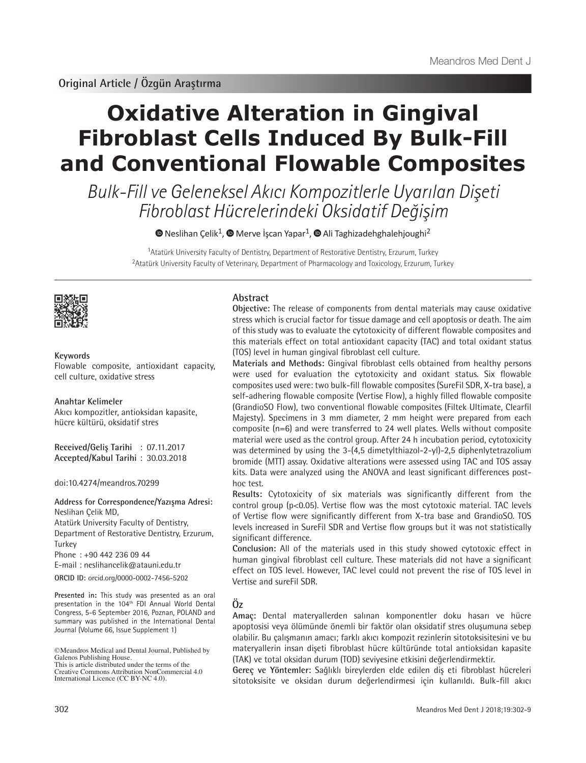# **Oxidative Alteration in Gingival Fibroblast Cells Induced By Bulk-Fill and Conventional Flowable Composites**

Bulk-Fill ve Geleneksel Akıcı Kompozitlerle Uyarılan Dişeti Fibroblast Hücrelerindeki Oksidatif Değişim

 $\bullet$ Neslihan Çelik<sup>1</sup>,  $\bullet$  Merve İşcan Yapar<sup>1</sup>,  $\bullet$  Ali Taghizadehghalehjoughi<sup>2</sup>

<sup>1</sup>Atatürk University Faculty of Dentistry, Department of Restorative Dentistry, Erzurum, Turkey <sup>2</sup>Atatürk University Faculty of Veterinary, Department of Pharmacology and Toxicology, Erzurum, Turkey



#### **Keywords**

Flowable composite, antioxidant capacity, cell culture, oxidative stress

#### **Anahtar Kelimeler**

Akıcı kompozitler, antioksidan kapasite, hücre kültürü, oksidatif stres

**Received/Geliş Tarihi** : 07.11.2017 **Accepted/Kabul Tarihi** : 30.03.2018

doi:10.4274/meandros.70299

**Address for Correspondence/Yazışma Adresi:** Neslihan Çelik MD,

Atatürk University Faculty of Dentistry, Department of Restorative Dentistry, Erzurum, **Turkey** 

Phone : +90 442 236 09 44

E-mail : neslihancelik@atauni.edu.tr

**ORCID ID:** orcid.org/0000-0002-7456-5202

**Presented in:** This study was presented as an oral presentation in the 104th FDI Annual World Dental Congress, 5-6 September 2016, Poznan, POLAND and summary was published in the International Dental Journal (Volume 66, Issue Supplement 1)

## **Abstract**

**Objective:** The release of components from dental materials may cause oxidative stress which is crucial factor for tissue damage and cell apoptosis or death. The aim of this study was to evaluate the cytotoxicity of different flowable composites and this materials effect on total antioxidant capacity (TAC) and total oxidant status (TOS) level in human gingival fibroblast cell culture.

**Materials and Methods:** Gingival fibroblast cells obtained from healthy persons were used for evaluation the cytotoxicity and oxidant status. Six flowable composites used were: two bulk-fill flowable composites (SureFil SDR, X-tra base), a self-adhering flowable composite (Vertise Flow), a highly filled flowable composite (GrandioSO Flow), two conventional flowable composites (Filtek Ultimate, Clearfil Majesty). Specimens in 3 mm diameter, 2 mm height were prepared from each composite (n=6) and were transferred to 24 well plates. Wells without composite material were used as the control group. After 24 h incubation period, cytotoxicity was determined by using the 3-(4,5 dimetylthiazol-2-yl)-2,5 diphenlytetrazolium bromide (MTT) assay. Oxidative alterations were assessed using TAC and TOS assay kits. Data were analyzed using the ANOVA and least significant differences posthoc test.

**Results:** Cytotoxicity of six materials was significantly different from the control group (p<0.05). Vertise flow was the most cytotoxic material. TAC levels of Vertise flow were significantly different from X-tra base and GrandioSO. TOS levels increased in SureFil SDR and Vertise flow groups but it was not statistically significant difference.

**Conclusion:** All of the materials used in this study showed cytotoxic effect in human gingival fibroblast cell culture. These materials did not have a significant effect on TOS level. However, TAC level could not prevent the rise of TOS level in Vertise and sureFil SDR.

# **Öz**

**Amaç:** Dental materyallerden salınan komponentler doku hasarı ve hücre apoptosisi veya ölümünde önemli bir faktör olan oksidatif stres oluşumuna sebep olabilir. Bu çalışmanın amacı; farklı akıcı kompozit rezinlerin sitotoksisitesini ve bu materyallerin insan dişeti fibroblast hücre kültüründe total antioksidan kapasite (TAK) ve total oksidan durum (TOD) seviyesine etkisini değerlendirmektir.

**Gereç ve Yöntemler:** Sağlıklı bireylerden elde edilen diş eti fibroblast hücreleri sitotoksisite ve oksidan durum değerlendirmesi için kullanıldı. Bulk-fill akıcı

<sup>©</sup>Meandros Medical and Dental Journal, Published by Galenos Publishing House. This is article distributed under the terms of the

Creative Commons Attribution NonCommercial 4.0 International Licence (CC BY-NC 4.0).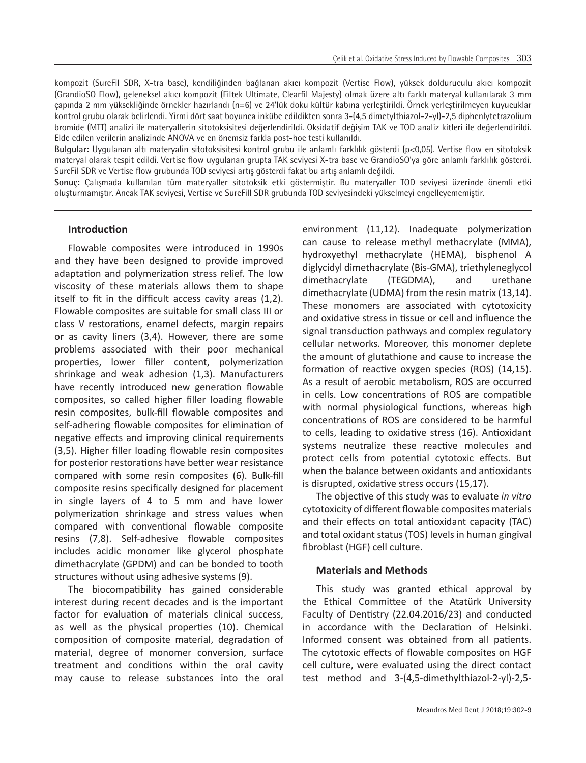kompozit (SureFil SDR, X-tra base), kendiliğinden bağlanan akıcı kompozit (Vertise Flow), yüksek dolduruculu akıcı kompozit (GrandioSO Flow), geleneksel akıcı kompozit (Filtek Ultimate, Clearfil Majesty) olmak üzere altı farklı materyal kullanılarak 3 mm çapında 2 mm yüksekliğinde örnekler hazırlandı (n=6) ve 24'lük doku kültür kabına yerleştirildi. Örnek yerleştirilmeyen kuyucuklar kontrol grubu olarak belirlendi. Yirmi dört saat boyunca inkübe edildikten sonra 3-(4,5 dimetylthiazol-2-yl)-2,5 diphenlytetrazolium bromide (MTT) analizi ile materyallerin sitotoksisitesi değerlendirildi. Oksidatif değişim TAK ve TOD analiz kitleri ile değerlendirildi. Elde edilen verilerin analizinde ANOVA ve en önemsiz farkla post-hoc testi kullanıldı.

**Bulgular:** Uygulanan altı materyalin sitotoksisitesi kontrol grubu ile anlamlı farklılık gösterdi (p<0,05). Vertise flow en sitotoksik materyal olarak tespit edildi. Vertise flow uygulanan grupta TAK seviyesi X-tra base ve GrandioSO'ya göre anlamlı farklılık gösterdi. SureFil SDR ve Vertise flow grubunda TOD seviyesi artış gösterdi fakat bu artış anlamlı değildi.

**Sonuç:** Çalışmada kullanılan tüm materyaller sitotoksik etki göstermiştir. Bu materyaller TOD seviyesi üzerinde önemli etki oluşturmamıştır. Ancak TAK seviyesi, Vertise ve SureFill SDR grubunda TOD seviyesindeki yükselmeyi engelleyememiştir.

## **Introduction**

Flowable composites were introduced in 1990s and they have been designed to provide improved adaptation and polymerization stress relief. The low viscosity of these materials allows them to shape itself to fit in the difficult access cavity areas (1,2). Flowable composites are suitable for small class III or class V restorations, enamel defects, margin repairs or as cavity liners (3,4). However, there are some problems associated with their poor mechanical properties, lower filler content, polymerization shrinkage and weak adhesion (1,3). Manufacturers have recently introduced new generation flowable composites, so called higher filler loading flowable resin composites, bulk-fill flowable composites and self-adhering flowable composites for elimination of negative effects and improving clinical requirements (3,5). Higher filler loading flowable resin composites for posterior restorations have better wear resistance compared with some resin composites (6). Bulk-fill composite resins specifically designed for placement in single layers of 4 to 5 mm and have lower polymerization shrinkage and stress values when compared with conventional flowable composite resins (7,8). Self-adhesive flowable composites includes acidic monomer like glycerol phosphate dimethacrylate (GPDM) and can be bonded to tooth structures without using adhesive systems (9).

The biocompatibility has gained considerable interest during recent decades and is the important factor for evaluation of materials clinical success, as well as the physical properties (10). Chemical composition of composite material, degradation of material, degree of monomer conversion, surface treatment and conditions within the oral cavity may cause to release substances into the oral

environment (11,12). Inadequate polymerization can cause to release methyl methacrylate (MMA), hydroxyethyl methacrylate (HEMA), bisphenol A diglycidyl dimethacrylate (Bis-GMA), triethyleneglycol dimethacrylate (TEGDMA), and urethane dimethacrylate (UDMA) from the resin matrix (13,14). These monomers are associated with cytotoxicity and oxidative stress in tissue or cell and influence the signal transduction pathways and complex regulatory cellular networks. Moreover, this monomer deplete the amount of glutathione and cause to increase the formation of reactive oxygen species (ROS) (14,15). As a result of aerobic metabolism, ROS are occurred in cells. Low concentrations of ROS are compatible with normal physiological functions, whereas high concentrations of ROS are considered to be harmful to cells, leading to oxidative stress (16). Antioxidant systems neutralize these reactive molecules and protect cells from potential cytotoxic effects. But when the balance between oxidants and antioxidants is disrupted, oxidative stress occurs (15,17).

The objective of this study was to evaluate *in vitro* cytotoxicity of different flowable composites materials and their effects on total antioxidant capacity (TAC) and total oxidant status (TOS) levels in human gingival fibroblast (HGF) cell culture.

#### **Materials and Methods**

This study was granted ethical approval by the Ethical Committee of the Atatürk University Faculty of Dentistry (22.04.2016/23) and conducted in accordance with the Declaration of Helsinki. Informed consent was obtained from all patients. The cytotoxic effects of flowable composites on HGF cell culture, were evaluated using the direct contact test method and 3-(4,5-dimethylthiazol-2-yl)-2,5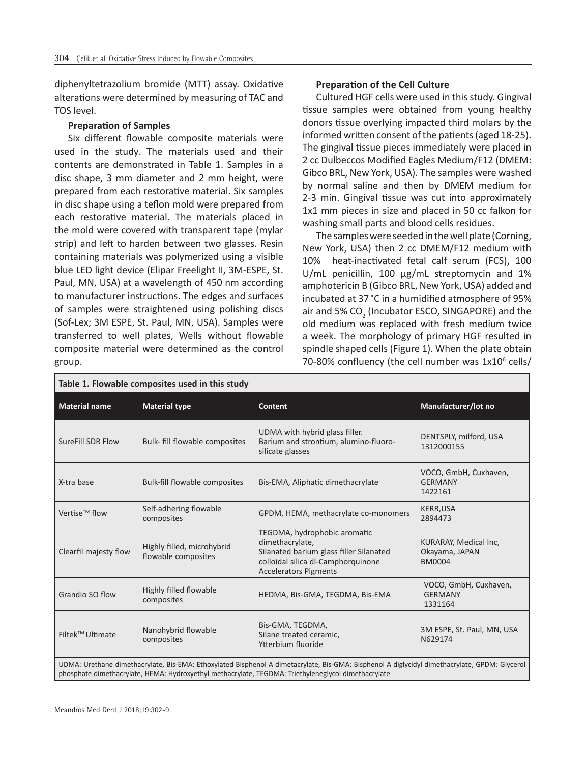diphenyltetrazolium bromide (MTT) assay. Oxidative alterations were determined by measuring of TAC and TOS level.

#### **Preparation of Samples**

Six different flowable composite materials were used in the study. The materials used and their contents are demonstrated in Table 1. Samples in a disc shape, 3 mm diameter and 2 mm height, were prepared from each restorative material. Six samples in disc shape using a teflon mold were prepared from each restorative material. The materials placed in the mold were covered with transparent tape (mylar strip) and left to harden between two glasses. Resin containing materials was polymerized using a visible blue LED light device (Elipar Freelight II, 3M-ESPE, St. Paul, MN, USA) at a wavelength of 450 nm according to manufacturer instructions. The edges and surfaces of samples were straightened using polishing discs (Sof-Lex; 3M ESPE, St. Paul, MN, USA). Samples were transferred to well plates, Wells without flowable composite material were determined as the control group.

## **Preparation of the Cell Culture**

Cultured HGF cells were used in this study. Gingival tissue samples were obtained from young healthy donors tissue overlying impacted third molars by the informed written consent of the patients (aged 18-25). The gingival tissue pieces immediately were placed in 2 cc Dulbeccos Modified Eagles Medium/F12 (DMEM: Gibco BRL, New York, USA). The samples were washed by normal saline and then by DMEM medium for 2-3 min. Gingival tissue was cut into approximately 1x1 mm pieces in size and placed in 50 cc falkon for washing small parts and blood cells residues.

The samples were seeded in the well plate (Corning, New York, USA) then 2 cc DMEM/F12 medium with 10% heat-inactivated fetal calf serum (FCS), 100 U/mL penicillin, 100 µg/mL streptomycin and 1% amphotericin B (Gibco BRL, New York, USA) added and incubated at 37°C in a humidified atmosphere of 95% air and 5%  $CO<sub>2</sub>$  (Incubator ESCO, SINGAPORE) and the old medium was replaced with fresh medium twice a week. The morphology of primary HGF resulted in spindle shaped cells (Figure 1). When the plate obtain 70-80% confluency (the cell number was 1x10<sup>6</sup> cells/

| Table 1. Flowable composites used in this study                                                                                                                                                                                                      |                                                   |                                                                                                                                                                  |                                                          |  |  |  |
|------------------------------------------------------------------------------------------------------------------------------------------------------------------------------------------------------------------------------------------------------|---------------------------------------------------|------------------------------------------------------------------------------------------------------------------------------------------------------------------|----------------------------------------------------------|--|--|--|
| <b>Material name</b>                                                                                                                                                                                                                                 | <b>Material type</b>                              | <b>Content</b>                                                                                                                                                   | Manufacturer/lot no                                      |  |  |  |
| SureFill SDR Flow                                                                                                                                                                                                                                    | Bulk- fill flowable composites                    | UDMA with hybrid glass filler.<br>Barium and strontium, alumino-fluoro-<br>silicate glasses                                                                      | DENTSPLY, milford, USA<br>1312000155                     |  |  |  |
| X-tra base                                                                                                                                                                                                                                           | <b>Bulk-fill flowable composites</b>              | Bis-EMA, Aliphatic dimethacrylate                                                                                                                                | VOCO, GmbH, Cuxhaven,<br><b>GERMANY</b><br>1422161       |  |  |  |
| Vertise <sup>™</sup> flow                                                                                                                                                                                                                            | Self-adhering flowable<br>composites              | GPDM, HEMA, methacrylate co-monomers                                                                                                                             | <b>KERR,USA</b><br>2894473                               |  |  |  |
| Clearfil majesty flow                                                                                                                                                                                                                                | Highly filled, microhybrid<br>flowable composites | TEGDMA, hydrophobic aromatic<br>dimethacrylate,<br>Silanated barium glass filler Silanated<br>colloidal silica dl-Camphorquinone<br><b>Accelerators Pigments</b> | KURARAY, Medical Inc,<br>Okayama, JAPAN<br><b>BM0004</b> |  |  |  |
| Grandio SO flow                                                                                                                                                                                                                                      | Highly filled flowable<br>composites              | HEDMA, Bis-GMA, TEGDMA, Bis-EMA                                                                                                                                  | VOCO, GmbH, Cuxhaven,<br><b>GERMANY</b><br>1331164       |  |  |  |
| Filtek <sup>™</sup> Ultimate                                                                                                                                                                                                                         | Nanohybrid flowable<br>composites                 | Bis-GMA, TEGDMA,<br>Silane treated ceramic,<br>Ytterbium fluoride                                                                                                | 3M ESPE, St. Paul, MN, USA<br>N629174                    |  |  |  |
| UDMA: Urethane dimethacrylate, Bis-EMA: Ethoxylated Bisphenol A dimetacrylate, Bis-GMA: Bisphenol A diglycidyl dimethacrylate, GPDM: Glycerol<br>phosphate dimethacrylate, HEMA: Hydroxyethyl methacrylate, TEGDMA: Triethyleneglycol dimethacrylate |                                                   |                                                                                                                                                                  |                                                          |  |  |  |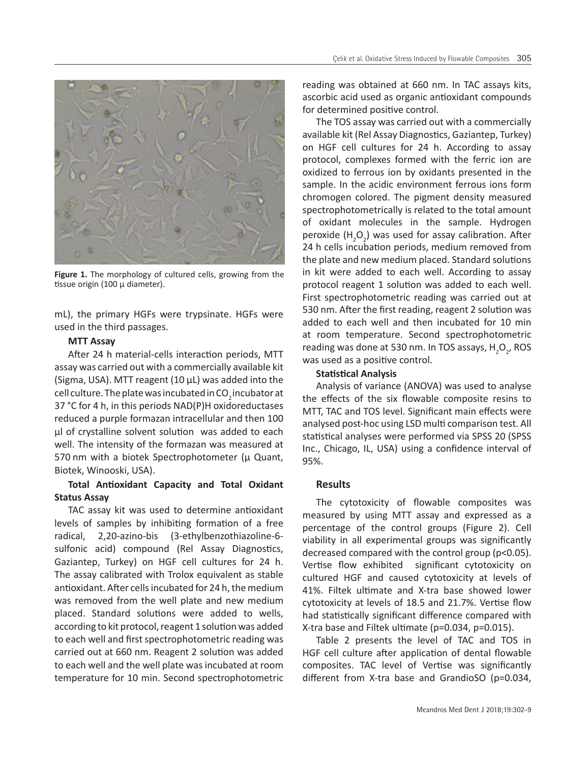

Figure 1. The morphology of cultured cells, growing from the tissue origin (100  $\mu$  diameter).

mL), the primary HGFs were trypsinate. HGFs were used in the third passages.

## **MTT Assay**

After 24 h material-cells interaction periods, MTT assay was carried out with a commercially available kit (Sigma, USA). MTT reagent (10 μL) was added into the cell culture. The plate was incubated in CO<sub>2</sub> incubator at 37 °C for 4 h, in this periods NAD(P)H oxidoreductases reduced a purple formazan intracellular and then 100 µl of crystalline solvent solution was added to each well. The intensity of the formazan was measured at 570 nm with a biotek Spectrophotometer ( $\mu$  Quant, Biotek, Winooski, USA).

# **Total Antioxidant Capacity and Total Oxidant Status Assay**

TAC assay kit was used to determine antioxidant levels of samples by inhibiting formation of a free radical, 2,20-azino-bis (3-ethylbenzothiazoline-6 sulfonic acid) compound (Rel Assay Diagnostics, Gaziantep, Turkey) on HGF cell cultures for 24 h. The assay calibrated with Trolox equivalent as stable antioxidant. After cells incubated for 24 h, the medium was removed from the well plate and new medium placed. Standard solutions were added to wells, according to kit protocol, reagent 1 solution was added to each well and first spectrophotometric reading was carried out at 660 nm. Reagent 2 solution was added to each well and the well plate was incubated at room temperature for 10 min. Second spectrophotometric reading was obtained at 660 nm. In TAC assays kits, ascorbic acid used as organic antioxidant compounds for determined positive control.

The TOS assay was carried out with a commercially available kit (Rel Assay Diagnostics, Gaziantep, Turkey) on HGF cell cultures for 24 h. According to assay protocol, complexes formed with the ferric ion are oxidized to ferrous ion by oxidants presented in the sample. In the acidic environment ferrous ions form chromogen colored. The pigment density measured spectrophotometrically is related to the total amount of oxidant molecules in the sample. Hydrogen peroxide  $(H_2O_2)$  was used for assay calibration. After 24 h cells incubation periods, medium removed from the plate and new medium placed. Standard solutions in kit were added to each well. According to assay protocol reagent 1 solution was added to each well. First spectrophotometric reading was carried out at 530 nm. After the first reading, reagent 2 solution was added to each well and then incubated for 10 min at room temperature. Second spectrophotometric reading was done at 530 nm. In TOS assays,  $H_2O_2$ , ROS was used as a positive control.

## **Statistical Analysis**

Analysis of variance (ANOVA) was used to analyse the effects of the six flowable composite resins to MTT, TAC and TOS level. Significant main effects were analysed post-hoc using LSD multi comparison test. All statistical analyses were performed via SPSS 20 (SPSS Inc., Chicago, IL, USA) using a confidence interval of 95%.

# **Results**

The cytotoxicity of flowable composites was measured by using MTT assay and expressed as a percentage of the control groups (Figure 2). Cell viability in all experimental groups was significantly decreased compared with the control group (p<0.05). Vertise flow exhibited significant cytotoxicity on cultured HGF and caused cytotoxicity at levels of 41%. Filtek ultimate and X-tra base showed lower cytotoxicity at levels of 18.5 and 21.7%. Vertise flow had statistically significant difference compared with X-tra base and Filtek ultimate (p=0.034, p=0.015).

Table 2 presents the level of TAC and TOS in HGF cell culture after application of dental flowable composites. TAC level of Vertise was significantly different from X-tra base and GrandioSO (p=0.034,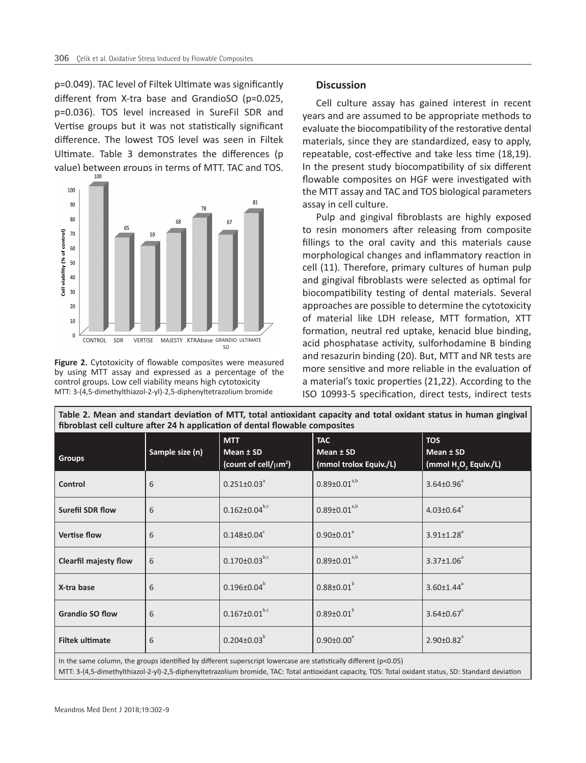p=0.049). TAC level of Filtek Ultimate was significantly different from X-tra base and GrandioSO (p=0.025, p=0.036). TOS level increased in SureFil SDR and Vertise groups but it was not statistically significant difference. The lowest TOS level was seen in Filtek Ultimate. Table 3 demonstrates the differences (p value) between groups in terms of MTT. TAC and TOS.



**Figure 2.** Cytotoxicity of flowable composites were measured by using MTT assay and expressed as a percentage of the control groups. Low cell viability means high cytotoxicity MTT: 3-(4,5-dimethylthiazol-2-yl)-2,5-diphenyltetrazolium bromide

#### **Discussion**

Cell culture assay has gained interest in recent years and are assumed to be appropriate methods to evaluate the biocompatibility of the restorative dental materials, since they are standardized, easy to apply, repeatable, cost-effective and take less time (18,19). In the present study biocompatibility of six different flowable composites on HGF were investigated with the MTT assay and TAC and TOS biological parameters assay in cell culture.

Pulp and gingival fibroblasts are highly exposed to resin monomers after releasing from composite fillings to the oral cavity and this materials cause morphological changes and inflammatory reaction in cell (11). Therefore, primary cultures of human pulp and gingival fibroblasts were selected as optimal for biocompatibility testing of dental materials. Several approaches are possible to determine the cytotoxicity of material like LDH release, MTT formation, XTT formation, neutral red uptake, kenacid blue binding, acid phosphatase activity, sulforhodamine B binding and resazurin binding (20). But, MTT and NR tests are more sensitive and more reliable in the evaluation of a material's toxic properties (21,22). According to the ISO 10993-5 specification, direct tests, indirect tests

| Table 2. Mean and standart deviation of MTT, total antioxidant capacity and total oxidant status in human gingival<br>fibroblast cell culture after 24 h application of dental flowable composites |                 |                                                                     |                                                   |                                                                            |  |  |  |
|----------------------------------------------------------------------------------------------------------------------------------------------------------------------------------------------------|-----------------|---------------------------------------------------------------------|---------------------------------------------------|----------------------------------------------------------------------------|--|--|--|
| <b>Groups</b>                                                                                                                                                                                      | Sample size (n) | <b>MTT</b><br>Mean $±$ SD<br>(count of cell/ $\mu$ m <sup>2</sup> ) | <b>TAC</b><br>Mean ± SD<br>(mmol trolox Equiv./L) | <b>TOS</b><br>Mean $±$ SD<br>(mmol H <sub>2</sub> O <sub>2</sub> Equiv./L) |  |  |  |
| Control                                                                                                                                                                                            | 6               | $0.251 \pm 0.03$ <sup>a</sup>                                       | $0.89 \pm 0.01^{a,b}$                             | $3.64 \pm 0.96^{\circ}$                                                    |  |  |  |
| <b>Surefil SDR flow</b>                                                                                                                                                                            | 6               | $0.162 \pm 0.04^{b,c}$                                              | $0.89 \pm 0.01^{a,b}$                             | $4.03 \pm 0.64$ <sup>a</sup>                                               |  |  |  |
| <b>Vertise flow</b>                                                                                                                                                                                | 6               | $0.148 \pm 0.04$ <sup>c</sup>                                       | $0.90 \pm 0.01$ <sup>a</sup>                      | $3.91 \pm 1.28$ <sup>a</sup>                                               |  |  |  |
| <b>Clearfil majesty flow</b>                                                                                                                                                                       | 6               | $0.170 \pm 0.03^{b,c}$                                              | $0.89 \pm 0.01^{a,b}$                             | $3.37 \pm 1.06^a$                                                          |  |  |  |
| X-tra base                                                                                                                                                                                         | 6               | $0.196 \pm 0.04^b$                                                  | $0.88 \pm 0.01^b$                                 | $3.60 \pm 1.44$ <sup>a</sup>                                               |  |  |  |
| <b>Grandio SO flow</b>                                                                                                                                                                             | 6               | $0.167 \pm 0.01^{b,c}$                                              | $0.89 \pm 0.01^b$                                 | $3.64 \pm 0.67$ <sup>a</sup>                                               |  |  |  |
| <b>Filtek ultimate</b>                                                                                                                                                                             | 6               | $0.204 \pm 0.03^b$                                                  | $0.90 \pm 0.00^{\circ}$                           | $2.90 \pm 0.82$ <sup>a</sup>                                               |  |  |  |
| In the same column, the groups identified by different superscript lowercase are statistically different (p<0.05)                                                                                  |                 |                                                                     |                                                   |                                                                            |  |  |  |

MTT: 3-(4,5-dimethylthiazol-2-yl)-2,5-diphenyltetrazolium bromide, TAC: Total antioxidant capacity, TOS: Total oxidant status, SD: Standard deviation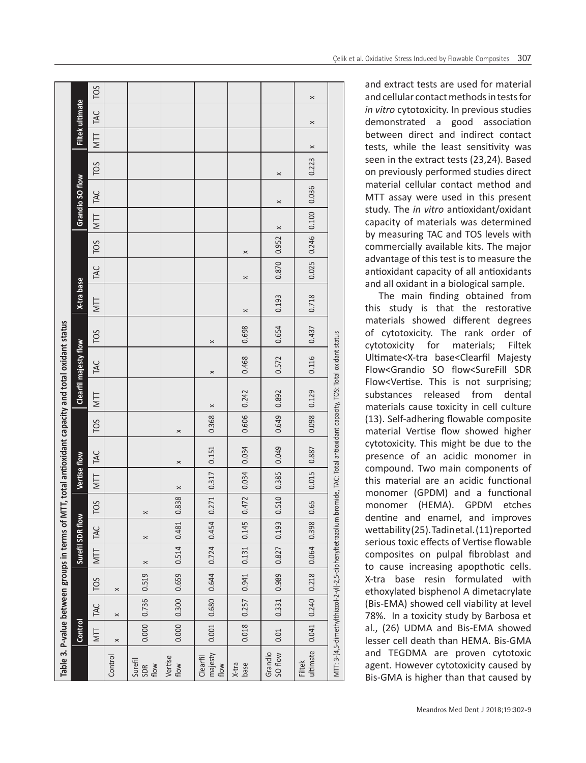| Table 3. P-value between groups in terms of MTT, total antioxidant capacity and total oxidant status |  | TOS                                                                              |                 |          |                         |                 |                             |                         |                    |                       |                                                                                                                               |
|------------------------------------------------------------------------------------------------------|--|----------------------------------------------------------------------------------|-----------------|----------|-------------------------|-----------------|-----------------------------|-------------------------|--------------------|-----------------------|-------------------------------------------------------------------------------------------------------------------------------|
|                                                                                                      |  | Filtek ultimate<br>TOS<br>Grandio SO flow<br>X-tra base<br>Clearfil majesty flow | TAC             |          |                         |                 |                             |                         |                    | $\boldsymbol{\times}$ |                                                                                                                               |
|                                                                                                      |  |                                                                                  | NTT             |          |                         |                 |                             |                         |                    | $\times$              |                                                                                                                               |
|                                                                                                      |  |                                                                                  |                 |          |                         |                 |                             |                         |                    | ×<br>0.223            |                                                                                                                               |
|                                                                                                      |  |                                                                                  |                 |          |                         |                 |                             |                         | $\times$           |                       |                                                                                                                               |
|                                                                                                      |  |                                                                                  | TAC             |          |                         |                 |                             |                         | $\times$           | 0.036                 |                                                                                                                               |
|                                                                                                      |  |                                                                                  | <b>TIM</b>      |          |                         |                 |                             |                         | $\times$           | $0.246$ $0.100$       |                                                                                                                               |
|                                                                                                      |  |                                                                                  | TOS             |          |                         |                 |                             | ×                       | 0.952              |                       |                                                                                                                               |
|                                                                                                      |  |                                                                                  | TAC             |          |                         |                 |                             | $\times$                | 0.870              | 0.025                 |                                                                                                                               |
|                                                                                                      |  |                                                                                  | NTT             |          |                         |                 |                             | ×                       | 0.193              | 0.718                 |                                                                                                                               |
|                                                                                                      |  |                                                                                  | TOS             |          |                         |                 | $\times$                    | 0.698                   | 0.654              | 0.437                 |                                                                                                                               |
|                                                                                                      |  |                                                                                  | TAC             |          |                         |                 | $\times$                    | 0.468                   | 0.572              | 0.116                 |                                                                                                                               |
|                                                                                                      |  |                                                                                  | NTT             |          |                         |                 | $\times$                    |                         | 0.892              | 0.129                 |                                                                                                                               |
|                                                                                                      |  | Vertise flow                                                                     | TOS             |          |                         | $\times$        | 0.368                       | 0.606 0.242             | 0.649              | 0.098                 |                                                                                                                               |
|                                                                                                      |  |                                                                                  | TAC             |          |                         | $\times$        | 0.151                       | 0.034                   | 0.049              | 0.887                 | MTT: 3-(4,5-dimethylthiazol-2-yl)-2,5-diphenyltetrazolium bromide, TAC: Total antioxidant capacity, TOS: Total oxidant status |
|                                                                                                      |  |                                                                                  | NTT             |          |                         | $\times$        | 0.317                       |                         | 0.385              | 0.015                 |                                                                                                                               |
|                                                                                                      |  | Surefil SDR flow                                                                 | TOS             |          | ×                       | 0.838           | 0.271                       | 0.472 0.034             | 0.510              | 1.65                  |                                                                                                                               |
|                                                                                                      |  |                                                                                  | TAC             |          | 0.481<br>$\times$       | 0.454           | 0.145                       | 0.193                   | 0.398              |                       |                                                                                                                               |
|                                                                                                      |  |                                                                                  | IIN             |          | $\times$                | 0.514           | 0.724                       | 0.131                   | 0.827              | 0.064                 |                                                                                                                               |
|                                                                                                      |  | Control                                                                          | TO <sub>S</sub> | $\times$ |                         | 0.659           | 0.644                       | $0.018$ $0.257$ $0.941$ | 0.989              | 0.218                 |                                                                                                                               |
|                                                                                                      |  |                                                                                  | TAC             | $\times$ | $0.000$ $0.736$ $0.519$ |                 |                             |                         | 0.331              | $0.041$ 0.240         |                                                                                                                               |
|                                                                                                      |  |                                                                                  | <b>NTT</b>      | $\times$ |                         | $0.000$ $0.300$ | $0.001$ $0.680$             |                         | 0.01               |                       |                                                                                                                               |
|                                                                                                      |  |                                                                                  |                 | Control  | Surefil<br>SDR<br>flow  | Vertise<br>flow | majesty<br>Clearfil<br>flow | X-tra<br>base           | Grandio<br>SO flow | ultimate<br>Filtek    |                                                                                                                               |

and extract tests are used for material and cellular contact methods in tests for *in vitro* cytotoxicity. In previous studies demonstrated a good association between direct and indirect contact tests, while the least sensitivity was seen in the extract tests (23,24). Based on previously performed studies direct material cellular contact method and MTT assay were used in this present study. The *in vitro* antioxidant/oxidant capacity of materials was determined by measuring TAC and TOS levels with commercially available kits. The major advantage of this test is to measure the antioxidant capacity of all antioxidants and all oxidant in a biological sample.

The main finding obtained from this study is that the restorative materials showed different degrees of cytotoxicity. The rank order of cytotoxicity for materials; Filtek Ultimate<X-tra base<Clearfil Majesty Flow<Grandio SO flow<SureFill SDR Flow<Vertise. This is not surprising; substances released from dental materials cause toxicity in cell culture (13). Self-adhering flowable composite material Vertise flow showed higher cytotoxicity. This might be due to the presence of an acidic monomer in compound. Two main components of this material are an acidic functional monomer (GPDM) and a functional monomer (HEMA). GPDM etches dentine and enamel, and improves wettability (25). Tadin et al. (11) reported serious toxic effects of Vertise flowable composites on pulpal fibroblast and to cause increasing apopthotic cells. X-tra base resin formulated with ethoxylated bisphenol A dimetacrylate (Bis-EMA) showed cell viability at level 78%. In a toxicity study by Barbosa et al., (26) UDMA and Bis-EMA showed lesser cell death than HEMA. Bis-GMA and TEGDMA are proven cytotoxic agent. However cytotoxicity caused by Bis-GMA is higher than that caused by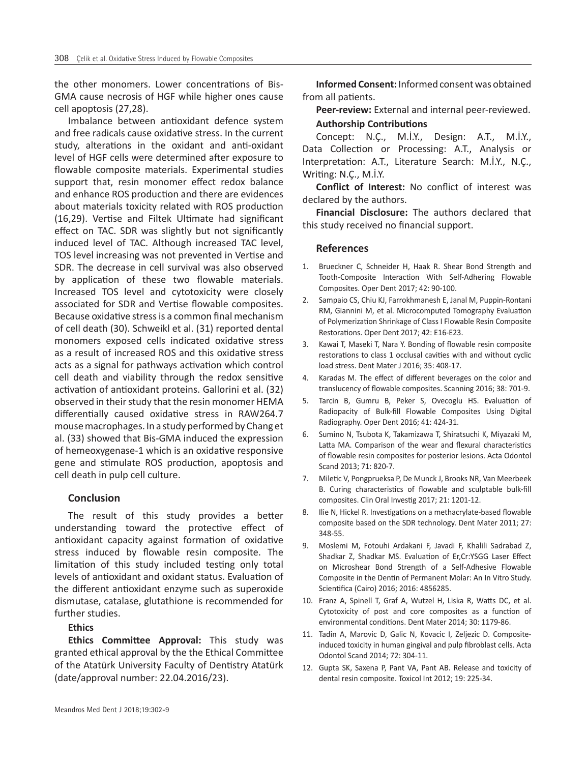the other monomers. Lower concentrations of Bis-GMA cause necrosis of HGF while higher ones cause cell apoptosis (27,28).

Imbalance between antioxidant defence system and free radicals cause oxidative stress. In the current study, alterations in the oxidant and anti-oxidant level of HGF cells were determined after exposure to flowable composite materials. Experimental studies support that, resin monomer effect redox balance and enhance ROS production and there are evidences about materials toxicity related with ROS production (16,29). Vertise and Filtek Ultimate had significant effect on TAC. SDR was slightly but not significantly induced level of TAC. Although increased TAC level, TOS level increasing was not prevented in Vertise and SDR. The decrease in cell survival was also observed by application of these two flowable materials. Increased TOS level and cytotoxicity were closely associated for SDR and Vertise flowable composites. Because oxidative stress is a common final mechanism of cell death (30). Schweikl et al. (31) reported dental monomers exposed cells indicated oxidative stress as a result of increased ROS and this oxidative stress acts as a signal for pathways activation which control cell death and viability through the redox sensitive activation of antioxidant proteins. Gallorini et al. (32) observed in their study that the resin monomer HEMA differentially caused oxidative stress in RAW264.7 mouse macrophages. In a study performed by Chang et al. (33) showed that Bis-GMA induced the expression of hemeoxygenase-1 which is an oxidative responsive gene and stimulate ROS production, apoptosis and cell death in pulp cell culture.

## **Conclusion**

The result of this study provides a better understanding toward the protective effect of antioxidant capacity against formation of oxidative stress induced by flowable resin composite. The limitation of this study included testing only total levels of antioxidant and oxidant status. Evaluation of the different antioxidant enzyme such as superoxide dismutase, catalase, glutathione is recommended for further studies.

## **Ethics**

**Ethics Committee Approval:** This study was granted ethical approval by the the Ethical Committee of the Atatürk University Faculty of Dentistry Atatürk (date/approval number: 22.04.2016/23).

**Informed Consent:** Informed consent was obtained from all patients.

**Peer-review:** External and internal peer-reviewed. **Authorship Contributions** 

Concept: N.Ç., M.İ.Y., Design: A.T., M.İ.Y., Data Collection or Processing: A.T., Analysis or Interpretation: A.T., Literature Search: M.İ.Y., N.Ç., Writing: N.Ç., M.İ.Y.

**Conflict of Interest:** No conflict of interest was declared by the authors.

**Financial Disclosure:** The authors declared that this study received no financial support.

## **References**

- 1. Brueckner C, Schneider H, Haak R. Shear Bond Strength and Tooth-Composite Interaction With Self-Adhering Flowable Composites. Oper Dent 2017; 42: 90-100.
- 2. Sampaio CS, Chiu KJ, Farrokhmanesh E, Janal M, Puppin-Rontani RM, Giannini M, et al. Microcomputed Tomography Evaluation of Polymerization Shrinkage of Class I Flowable Resin Composite Restorations. Oper Dent 2017; 42: E16-E23.
- 3. Kawai T, Maseki T, Nara Y. Bonding of flowable resin composite restorations to class 1 occlusal cavities with and without cyclic load stress. Dent Mater J 2016; 35: 408-17.
- 4. Karadas M. The effect of different beverages on the color and translucency of flowable composites. Scanning 2016; 38: 701-9.
- 5. Tarcin B, Gumru B, Peker S, Ovecoglu HS. Evaluation of Radiopacity of Bulk-fill Flowable Composites Using Digital Radiography. Oper Dent 2016; 41: 424-31.
- 6. Sumino N, Tsubota K, Takamizawa T, Shiratsuchi K, Miyazaki M, Latta MA. Comparison of the wear and flexural characteristics of flowable resin composites for posterior lesions. Acta Odontol Scand 2013; 71: 820-7.
- 7. Miletic V, Pongprueksa P, De Munck J, Brooks NR, Van Meerbeek B. Curing characteristics of flowable and sculptable bulk-fill composites. Clin Oral Investig 2017; 21: 1201-12.
- 8. Ilie N, Hickel R. Investigations on a methacrylate-based flowable composite based on the SDR technology. Dent Mater 2011; 27: 348-55.
- 9. Moslemi M, Fotouhi Ardakani F, Javadi F, Khalili Sadrabad Z, Shadkar Z, Shadkar MS. Evaluation of Er,Cr:YSGG Laser Effect on Microshear Bond Strength of a Self-Adhesive Flowable Composite in the Dentin of Permanent Molar: An In Vitro Study. Scientifica (Cairo) 2016; 2016: 4856285.
- 10. Franz A, Spinell T, Graf A, Wutzel H, Liska R, Watts DC, et al. Cytotoxicity of post and core composites as a function of environmental conditions. Dent Mater 2014; 30: 1179-86.
- 11. Tadin A, Marovic D, Galic N, Kovacic I, Zeljezic D. Compositeinduced toxicity in human gingival and pulp fibroblast cells. Acta Odontol Scand 2014; 72: 304-11.
- 12. Gupta SK, Saxena P, Pant VA, Pant AB. Release and toxicity of dental resin composite. Toxicol Int 2012; 19: 225-34.